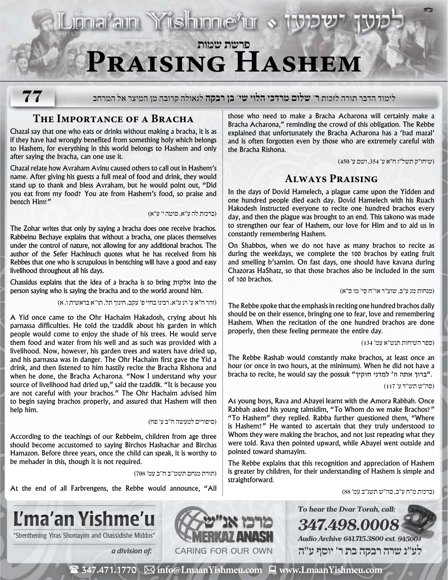Liona<sup>z</sup>ain Yüshinne<sup>z</sup>ur » 1

## **פרשת שמות Praising Hashem**

**77**

לימוד הדבר תורה לזכות **ר' שלום מרדכי הלוי שי' בן רבקה** לגאולה קרובה מן המיצר אל המרחב

## **The Importance of a Bracha**

Chazal say that one who eats or drinks without making a bracha, it is as if they have had wrongly benefited from something holy which belongs to Hashem, for everything in this world belongs to Hashem and only after saying the bracha, can one use it.

Chazal relate how Avraham Avinu caused others to call out in Hashem's name. After giving his guests a full meal of food and drink, they would stand up to thank and bless Avraham, but he would point out, "Did you eat from my food? You ate from Hashem's food, so praise and bentch Him!"

)ברכות לה ע״א, סוטה י׳ ע״א(

The Zohar writes that only by saying a bracha does one receive brachos. Rabbeinu Bechaye explains that without a bracha, one places themselves under the control of nature, not allowing for any additional brachos. The author of the Sefer Hachinuch quotes what he has received from his Rebbes that one who is scrupulous in bentching will have a good and easy livelihood throughout all his days.

Chassidus explains that the idea of a bracha is to bring אלקות into the person saying who is saying the bracha and to the world around him.

)זהר ח״א ע׳ רנ ע״א, רבינו בחיי פ׳ עקב, חינוך תל, תו׳׳א בראשית ו, א(

A Yid once came to the Ohr Hachaim Hakadosh, crying about his parnassa difficulties. He told the tzaddik about his garden in which people would come to enjoy the shade of his trees. He would serve them food and water from his well and as such was provided with a livelihood. Now, however, his garden trees and waters have dried up, and his parnassa was in danger. The Ohr Hachaim first gave the Yid a drink, and then listened to him hastily recite the Bracha Rishona and when he done, the Bracha Acharona. "Now I understand why your source of livelihood had dried up," said the tzaddik. "It is because you are not careful with your brachos." The Ohr Hachaim advised him to begin saying brachos properly, and assured that Hashem will then help him.

)סיפורים למעשה ח״ב ע׳ פח(

According to the teachings of our Rebbeim, children from age three should become accustomed to saying Birchos Hashachar and Birchas Hamazon. Before three years, once the child can speak, it is worthy to be mehader in this, though it is not required.

)תורת מנחם תשמ׳׳ב ח׳׳ב עמ׳ 708(

At the end of all Farbrengens, the Rebbe would announce, "All

those who need to make a Bracha Acharona will certainly make a Bracha Acharona," reminding the crowd of this obligation. The Rebbe explained that unfortunately the Bracha Acharona has a 'bad mazal' and is often forgotten even by those who are extremely careful with the Bracha Rishona.

)שיחו״ק תשל״ז ח״א ע׳ ,354 ושם ע׳ 450(

**ב"ה**

## **Always Praising**

In the days of Dovid Hamelech, a plague came upon the Yidden and one hundred people died each day. Dovid Hamelech with his Ruach Hakodesh instructed everyone to recite one hundred brachos every day, and then the plague was brought to an end. This takono was made to strengthen our fear of Hashem, our love for Him and to aid us in constantly remembering Hashem.

On Shabbos, when we do not have as many brachos to recite as during the weekdays, we complete the 100 brachos by eating fruit and smelling b'samim. On fast days, one should have kavana during Chazoras HaShatz, so that those brachos also be included in the sum of 100 brachos.

)מנחות מג ע״ב, שוע״ר או׳׳ח סי׳ מו ס״א(

The Rebbe spoke that the emphasis in reciting one hundred brachos daily should be on their essence, bringing one to fear, love and remembering Hashem. When the recitation of the one hundred brachos are done properly, then these feeling permeate the entire day.

)ספר השיחות תנש״א עמ׳ 134(

The Rebbe Rashab would constantly make brachos, at least once an hour (or once in two hours, at the minimum). When he did not have a bracha to recite, he would say the possuk "ברוך אתה ה' למדני חוקיך".

)סה״ש תש״ד ע׳ 117(

As young boys, Rava and Abayei learnt with the Amora Rabbah. Once Rabbah asked his young talmidim, "To Whom do we make Brachos?" "To Hashem" they replied. Rabba further questioned them, "Where is Hashem?" He wanted to ascertain that they truly understood to Whom they were making the brachos, and not just repeating what they were told. Rava then pointed upward, while Abayei went outside and pointed toward shamayim.

The Rebbe explains that this recognition and appreciation of Hashem is greater by children, for their understanding of Hashem is simple and straightforward.

**To hear the Dvar Torah, call:**

**Audio Archive 641.715.3800 ext. 94500#**

**347.498.0008**

)ברכות מ״ח ע״ב, סה״ש תשנ״ב עמ׳ 88(







 **לע"נ שרה רבקה בת ר׳ יוסף ע"ה**

( 347.471.1770 **info@LmaanYishmeu.com www.LmaanYishmeu.com**  $\mathbf{m}$  and  $\mathbf{m}$  and  $\mathbf{m}$